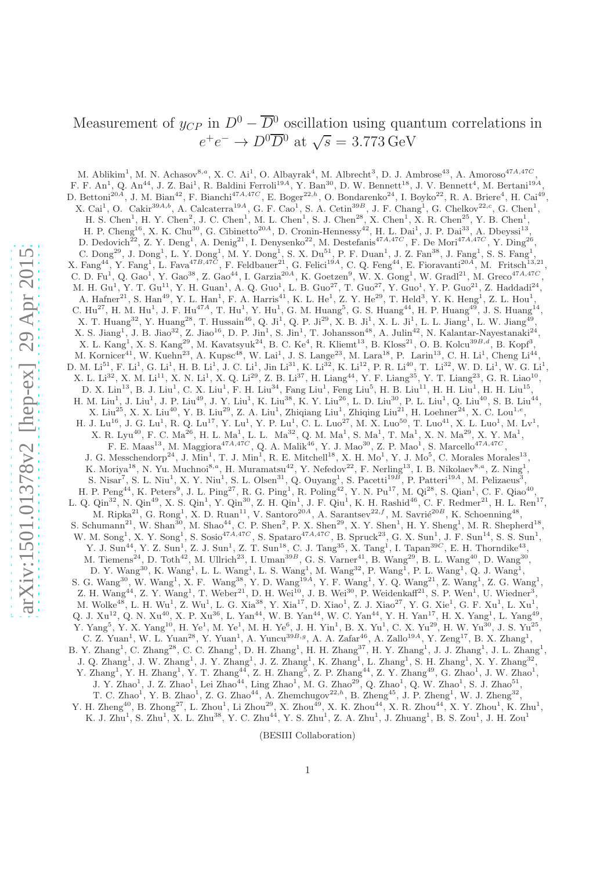# Measurement of  $y_{CP}$  in  $D^0 - \overline{D}{}^0$  oscillation using quantum correlations in  $e^+e^- \to D^0\overline{D}{}^0$  at  $\sqrt{s} = 3.773 \,\text{GeV}$

M. Ablikim<sup>1</sup>, M. N. Achasov<sup>8,a</sup>, X. C. Ai<sup>1</sup>, O. Albayrak<sup>4</sup>, M. Albrecht<sup>3</sup>, D. J. Ambrose<sup>43</sup>, A. Amoroso<sup>47A,47C</sup>, F. F. An<sup>1</sup>, Q. An<sup>44</sup>, J. Z. Bai<sup>1</sup>, R. Baldini Ferroli<sup>19A</sup>, Y. Ban<sup>30</sup>, D. W. Bennett<sup>18</sup>, J. V. Bennett<sup>4</sup>, M. Bertani<sup>19A</sup>, D. Bettoni<sup>20A</sup>, J. M. Bian<sup>42</sup>, F. Bianchi<sup>47A,47C</sup>, E. Boger<sup>22,h</sup>, O. Bondarenko<sup>24</sup>, I. Boyko<sup>22</sup>, R. A. Briere<sup>4</sup>, H. Cai<sup>49</sup>, X. Cai<sup>1</sup>, O. Cakir<sup>39A,b</sup>, A. Calcaterra<sup>19A</sup>, G. F. Cao<sup>1</sup>, S. A. Cetin<sup>39B</sup>, J. F. Chang<sup>1</sup>, G. Chelkov<sup>22,c</sup>, G. Chen<sup>1</sup>, H. S. Chen<sup>1</sup>, H. Y. Chen<sup>2</sup>, J. C. Chen<sup>1</sup>, M. L. Chen<sup>1</sup>, S. J. Chen<sup>28</sup>, X. Chen<sup>1</sup>, X. R. Chen<sup>25</sup>, Y. B. Chen<sup>1</sup>, H. P. Cheng<sup>16</sup>, X. K. Chu<sup>30</sup>, G. Cibinetto<sup>20A</sup>, D. Cronin-Hennessy<sup>42</sup>, H. L. Dai<sup>1</sup>, J. P. Dai<sup>33</sup>, A. Dbeyssi<sup>13</sup>, D. Dedovich<sup>22</sup>, Z. Y. Deng<sup>1</sup>, A. Denig<sup>21</sup>, I. Denysenko<sup>22</sup>, M. Destefanis<sup>47A,47C</sup>, F. De Mori<sup>47A,47C</sup>, Y. Ding<sup>26</sup>, C. Dong<sup>29</sup>, J. Dong<sup>1</sup>, L. Y. Dong<sup>1</sup>, M. Y. Dong<sup>1</sup>, S. X. Du<sup>51</sup>, P. F. Duan<sup>1</sup>, J. Z. Fan<sup>38</sup>, J. Fang<sup>1</sup>, S. S. Fang<sup>1</sup>, X. Fang<sup>44</sup>, Y. Fang<sup>1</sup>, L. Fava<sup>47B,47C</sup>, F. Feldbauer<sup>21</sup>, G. Felici<sup>19A</sup>, C. Q. Feng<sup>44</sup>, E. Fioravanti<sup>20A</sup>, M. Fritsch<sup>13,21</sup>, C. D. Fu<sup>1</sup>, Q. Gao<sup>1</sup>, Y. Gao<sup>38</sup>, Z. Gao<sup>44</sup>, I. Garzia<sup>20A</sup>, K. Goetzen<sup>9</sup>, W. X. Gong<sup>1</sup>, W. Gradl<sup>21</sup>, M. Greco<sup>47A,47C</sup>, M. H. Gu<sup>1</sup>, Y. T. Gu<sup>11</sup>, Y. H. Guan<sup>1</sup>, A. Q. Guo<sup>1</sup>, L. B. Guo<sup>27</sup>, T. Guo<sup>27</sup>, Y. Guo<sup>1</sup>, Y. P. Guo<sup>21</sup>, Z. Haddadi<sup>24</sup>, A. Hafner<sup>21</sup>, S. Han<sup>49</sup>, Y. L. Han<sup>1</sup>, F. A. Harris<sup>41</sup>, K. L. He<sup>1</sup>, Z. Y. He<sup>29</sup>, T. Held<sup>3</sup>, Y. K. Heng<sup>1</sup>, Z. L. Hou<sup>1</sup>, C.  $\rm{Hu^{27}}$ , H. M.  $\rm{Hu}^1$ , J. F.  $\rm{Hu}^{17A}$ , T.  $\rm{Hu}^1$ , Y.  $\rm{Hu}^1$ , G. M. Huang<sup>5</sup>, G. S. Huang<sup>44</sup>, H. P. Huang<sup>49</sup>, J. S. Huang<sup>14</sup>, X. T. Huang<sup>32</sup>, Y. Huang<sup>28</sup>, T. Hussain<sup>46</sup>, Q. Ji<sup>1</sup>, Q. P. Ji<sup>29</sup>, X. B. Ji<sup>1</sup>, X. L. Ji<sup>1</sup>, L. L. Jiang<sup>1</sup>, L. W. Jiang<sup>49</sup>,  $X. S. Jiang<sup>1</sup>, J. B. Jiao<sup>32</sup>, Z. Jiao<sup>16</sup>, D. P. Jin<sup>1</sup>, S. Jin<sup>1</sup>, T. Johansson<sup>48</sup>, A. Julin<sup>42</sup>, N. Kalantar-Nayestanaki<sup>24</sup>,$ X. L. Kang<sup>1</sup>, X. S. Kang<sup>29</sup>, M. Kavatsyuk<sup>24</sup>, B. C. Ke<sup>4</sup>, R. Kliemt<sup>13</sup>, B. Kloss<sup>21</sup>, O. B. Kolcu<sup>39B,d</sup>, B. Kopf<sup>3</sup>, M. Kornicer<sup>41</sup>, W. Kuehn<sup>23</sup>, A. Kupsc<sup>48</sup>, W. Lai<sup>1</sup>, J. S. Lange<sup>23</sup>, M. Lara<sup>18</sup>, P. Larin<sup>13</sup>, C. H. Li<sup>1</sup>, Cheng Li<sup>44</sup> , D. M.  $\text{Li}^{51}$ , F.  $\text{Li}^{1}$ , G.  $\text{Li}^{1}$ , H. B.  $\text{Li}^{1}$ , J. C.  $\text{Li}^{1}$ , Jin  $\text{Li}^{31}$ , K.  $\text{Li}^{32}$ , K.  $\text{Li}^{12}$ , P. R.  $\text{Li}^{40}$ , T.  $\text{Li}^{32}$ , W. D.  $\text{Li}^{1}$ , W. G.  $\text{Li}^{1}$ , X. L. Li<sup>32</sup>, X. M. Li<sup>11</sup>, X. N. Li<sup>1</sup>, X. Q. Li<sup>29</sup>, Z. B. Li<sup>37</sup>, H. Liang<sup>44</sup>, Y. F. Liang<sup>35</sup>, Y. T. Liang<sup>23</sup>, G. R. Liao<sup>10</sup>, D. X. Lin<sup>13</sup>, B. J. Liu<sup>1</sup>, C. X. Liu<sup>1</sup>, F. H. Liu<sup>34</sup>, Fang Liu<sup>1</sup>, Feng Liu<sup>5</sup>, H. B. Liu<sup>11</sup>, H. H. Liu<sup>1</sup>, H. H. Liu<sup>15</sup>, H. M. Liu<sup>1</sup>, J. Liu<sup>1</sup>, J. P. Liu<sup>49</sup>, J. Y. Liu<sup>1</sup>, K. Liu<sup>38</sup>, K. Y. Liu<sup>26</sup>, L. D. Liu<sup>30</sup>, P. L. Liu<sup>1</sup>, Q. Liu<sup>40</sup>, S. B. Liu<sup>44</sup>, X. Liu<sup>25</sup>, X. X. Liu<sup>40</sup>, Y. B. Liu<sup>29</sup>, Z. A. Liu<sup>1</sup>, Zhiqiang Liu<sup>1</sup>, Zhiqing Liu<sup>21</sup>, H. Loehner<sup>24</sup>, X. C. Lou<sup>1,e</sup>,  $H. J. Lu<sup>16</sup>, J. G. Lu<sup>1</sup>, R. Q. Lu<sup>17</sup>, Y. Lu<sup>1</sup>, Y. Pu<sup>1</sup>, C. L. Lu<sup>27</sup>, M. X. Lu<sup>50</sup>, T. Lu<sup>41</sup>, X. L. Lu<sup>1</sup>, M. Lv<sup>1</sup>,$  $X.$  R. Lyu<sup>40</sup>, F. C. Ma<sup>26</sup>, H. L. Ma<sup>1</sup>, L. L. Ma<sup>32</sup>, Q. M. Ma<sup>1</sup>, S. Ma<sup>1</sup>, T. Ma<sup>1</sup>, X. N. Ma<sup>29</sup>, X. Y. Ma<sup>1</sup>, F. E. Maas<sup>13</sup>, M. Maggiora<sup>47A,47C</sup>, Q. A. Malik<sup>46</sup>, Y. J. Mao<sup>30</sup>, Z. P. Mao<sup>1</sup>, S. Marcello<sup>47A,47C</sup>, J. G. Messchendorp<sup>24</sup>, J. Min<sup>1</sup>, T. J. Min<sup>1</sup>, R. E. Mitchell<sup>18</sup>, X. H. Mo<sup>1</sup>, Y. J. Mo<sup>5</sup>, C. Morales Morales<sup>13</sup>, K. Moriya<sup>18</sup>, N. Yu. Muchnoi<sup>8,a</sup>, H. Muramatsu<sup>42</sup>, Y. Nefedov<sup>22</sup>, F. Nerling<sup>13</sup>, I. B. Nikolaev<sup>8,a</sup>, Z. Ning<sup>1</sup>, S. Nisar<sup>7</sup>, S. L. Niu<sup>1</sup>, X. Y. Niu<sup>1</sup>, S. L. Olsen<sup>31</sup>, Q. Ouyang<sup>1</sup>, S. Pacetti<sup>19B</sup>, P. Patteri<sup>19A</sup>, M. Pelizaeus<sup>3</sup>,  $H.$  P. Peng<sup>44</sup>, K. Peters<sup>9</sup>, J. L. Ping<sup>27</sup>, R. G. Ping<sup>1</sup>, R. Poling<sup>42</sup>, Y. N. Pu<sup>17</sup>, M. Qi<sup>28</sup>, S. Qian<sup>1</sup>, C. F. Qiao<sup>40</sup>, L. Q. Qin<sup>32</sup>, N. Qin<sup>49</sup>, X. S. Qin<sup>1</sup>, Y. Qin<sup>30</sup>, Z. H. Qin<sup>1</sup>, J. F. Qiu<sup>1</sup>, K. H. Rashid<sup>46</sup>, C. F. Redmer<sup>21</sup>, H. L. Ren<sup>17</sup>, M. Ripka<sup>21</sup>, G. Rong<sup>1</sup>, X. D. Ruan<sup>11</sup>, V. Santoro<sup>20A</sup>, A. Sarantsev<sup>22,f</sup>, M. Savrié<sup>20B</sup>, K. Schoenning<sup>48</sup>, S. Schumann<sup>21</sup>, W. Shan<sup>30</sup>, M. Shao<sup>44</sup>, C. P. Shen<sup>2</sup>, P. X. Shen<sup>29</sup>, X. Y. Shen<sup>1</sup>, H. Y. Sheng<sup>1</sup>, M. R. Shepherd<sup>18</sup>, W. M. Song<sup>1</sup>, X. Y. Song<sup>1</sup>, S. Sosio<sup>47A,47C</sup>, S. Spataro<sup>47A,47C</sup>, B. Spruck<sup>23</sup>, G. X. Sun<sup>1</sup>, J. F. Sun<sup>14</sup>, S. S. Sun<sup>1</sup>, Y. J. Sun<sup>44</sup>, Y. Z. Sun<sup>1</sup>, Z. J. Sun<sup>1</sup>, Z. T. Sun<sup>18</sup>, C. J. Tang<sup>35</sup>, X. Tang<sup>1</sup>, I. Tapan<sup>39C</sup>, E. H. Thorndike<sup>43</sup>, M. Tiemens<sup>24</sup>, D. Toth<sup>42</sup>, M. Ullrich<sup>23</sup>, I. Uman<sup>39B</sup>, G. S. Varner<sup>41</sup>, B. Wang<sup>29</sup>, B. L. Wang<sup>40</sup>, D. Wang<sup>30</sup>, D. Y. Wang<sup>30</sup>, K. Wang<sup>1</sup>, L. L. Wang<sup>1</sup>, L. S. Wang<sup>1</sup>, M. Wang<sup>32</sup>, P. Wang<sup>1</sup>, P. L. Wang<sup>1</sup>, Q. J. Wang<sup>1</sup>, S. G. Wang<sup>30</sup>, W. Wang<sup>1</sup>, X. F. Wang<sup>38</sup>, Y. D. Wang<sup>19A</sup>, Y. F. Wang<sup>1</sup>, Y. Q. Wang<sup>21</sup>, Z. Wang<sup>1</sup>, Z. G. Wang<sup>1</sup>, Z. H. Wang<sup>44</sup>, Z. Y. Wang<sup>1</sup>, T. Weber<sup>21</sup>, D. H. Wei<sup>10</sup>, J. B. Wei<sup>30</sup>, P. Weidenkaff<sup>21</sup>, S. P. Wen<sup>1</sup>, U. Wiedner<sup>3</sup>, M. Wolke<sup>48</sup>, L. H. Wu<sup>1</sup>, Z. Wu<sup>1</sup>, L. G. Xia<sup>38</sup>, Y. Xia<sup>17</sup>, D. Xiao<sup>1</sup>, Z. J. Xiao<sup>27</sup>, Y. G. Xie<sup>1</sup>, G. F. Xu<sup>1</sup>, L. Xu<sup>1</sup>, Q. J.  $Xu^{12}$ , Q. N.  $Xu^{40}$ , X. P.  $Xu^{36}$ , L.  $Yan^{44}$ , W. B.  $Yan^{44}$ , W. C.  $Yan^{44}$ , Y. H.  $Yan^{17}$ , H. X.  $Yang^1$ , L.  $Yang^{49}$ , Y. Yang<sup>5</sup>, Y. X. Yang<sup>10</sup>, H. Ye<sup>1</sup>, M. Ye<sup>1</sup>, M. H. Ye<sup>6</sup>, J. H. Yin<sup>1</sup>, B. X. Yu<sup>1</sup>, C. X. Yu<sup>29</sup>, H. W. Yu<sup>30</sup>, J. S. Yu<sup>25</sup>, C. Z. Yuan<sup>1</sup>, W. L. Yuan<sup>28</sup>, Y. Yuan<sup>1</sup>, A. Yuncu<sup>39B,g</sup>, A. A. Zafar<sup>46</sup>, A. Zallo<sup>19A</sup>, Y. Zeng<sup>17</sup>, B. X. Zhang<sup>1</sup>, B. Y. Zhang<sup>1</sup>, C. Zhang<sup>28</sup>, C. C. Zhang<sup>1</sup>, D. H. Zhang<sup>1</sup>, H. H. Zhang<sup>37</sup>, H. Y. Zhang<sup>1</sup>, J. J. Zhang<sup>1</sup>, J. L. Zhang<sup>1</sup>, J. Q. Zhang<sup>1</sup>, J. W. Zhang<sup>1</sup>, J. Y. Zhang<sup>1</sup>, J. Z. Zhang<sup>1</sup>, K. Zhang<sup>1</sup>, L. Zhang<sup>1</sup>, S. H. Zhang<sup>1</sup>, X. Y. Zhang<sup>32</sup>, Y. Zhang<sup>1</sup>, Y. H. Zhang<sup>1</sup>, Y. T. Zhang<sup>44</sup>, Z. H. Zhang<sup>5</sup>, Z. P. Zhang<sup>44</sup>, Z. Y. Zhang<sup>49</sup>, G. Zhao<sup>1</sup>, J. W. Zhao<sup>1</sup>, J. Y. Zhao<sup>1</sup>, J. Z. Zhao<sup>1</sup>, Lei Zhao<sup>44</sup>, Ling Zhao<sup>1</sup>, M. G. Zhao<sup>29</sup>, Q. Zhao<sup>1</sup>, Q. W. Zhao<sup>1</sup>, S. J. Zhao<sup>51</sup>, T. C. Zhao<sup>1</sup>, Y. B. Zhao<sup>1</sup>, Z. G. Zhao<sup>44</sup>, A. Zhemchugov<sup>22,h</sup>, B. Zheng<sup>45</sup>, J. P. Zheng<sup>1</sup>, W. J. Zheng<sup>32</sup>, Y. H. Zheng<sup>40</sup>, B. Zhong<sup>27</sup>, L. Zhou<sup>1</sup>, Li Zhou<sup>29</sup>, X. Zhou<sup>49</sup>, X. K. Zhou<sup>44</sup>, X. R. Zhou<sup>44</sup>, X. Y. Zhou<sup>1</sup>, K. Zhu<sup>1</sup>, K. J. Zhu<sup>1</sup>, S. Zhu<sup>1</sup>, X. L. Zhu<sup>38</sup>, Y. C. Zhu<sup>44</sup>, Y. S. Zhu<sup>1</sup>, Z. A. Zhu<sup>1</sup>, J. Zhuang<sup>1</sup>, B. S. Zou<sup>1</sup>, J. H. Zou<sup>1</sup>

(BESIII Collaboration)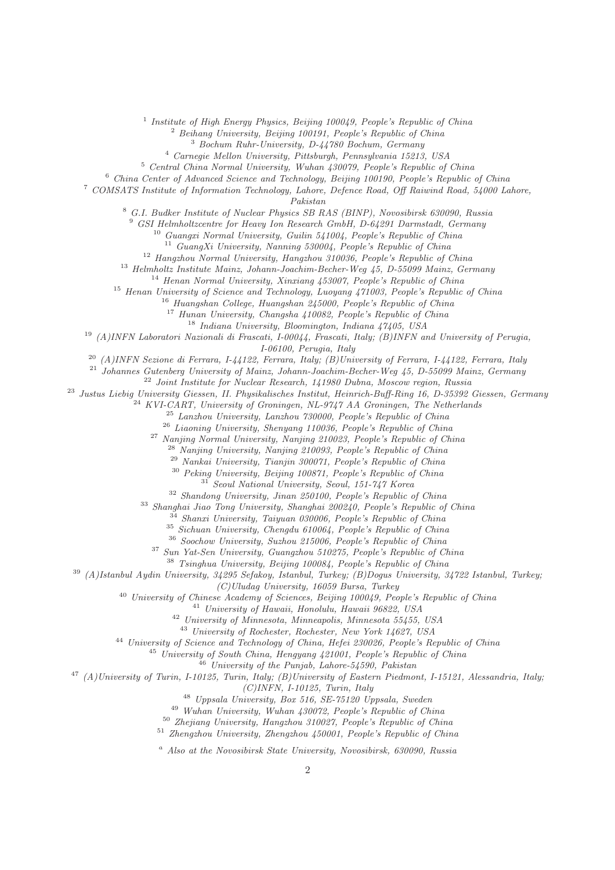<sup>1</sup> Institute of High Energy Physics, Beijing 100049, People's Republic of China

<sup>2</sup> Beihang University, Beijing 100191, People's Republic of China

Bochum Ruhr-University, D-44780 Bochum, Germany

Carnegie Mellon University, Pittsburgh, Pennsylvania 15213, USA

Central China Normal University, Wuhan 430079, People's Republic of China

China Center of Advanced Science and Technology, Beijing 100190, People's Republic of China

 COMSATS Institute of Information Technology, Lahore, Defence Road, Off Raiwind Road, 54000 Lahore, Pakistan

G.I. Budker Institute of Nuclear Physics SB RAS (BINP), Novosibirsk 630090, Russia

GSI Helmholtzcentre for Heavy Ion Research GmbH, D-64291 Darmstadt, Germany

Guangxi Normal University, Guilin 541004, People's Republic of China

<sup>11</sup> GuangXi University, Nanning 530004, People's Republic of China

<sup>12</sup> Hangzhou Normal University, Hangzhou 310036, People's Republic of China

Helmholtz Institute Mainz, Johann-Joachim-Becher-Weg 45, D-55099 Mainz, Germany

<sup>14</sup> Henan Normal University, Xinxiang 453007, People's Republic of China

<sup>15</sup> Henan University of Science and Technology, Luoyang 471003, People's Republic of China

Huangshan College, Huangshan 245000, People's Republic of China

Hunan University, Changsha 410082, People's Republic of China

Indiana University, Bloomington, Indiana  $47405$ , USA

(A)INFN Laboratori Nazionali di Frascati, I-00044, Frascati, Italy; (B)INFN and University of Perugia,

I-06100, Perugia, Italy

<sup>20</sup> (A)INFN Sezione di Ferrara, I-44122, Ferrara, Italy; (B)University of Ferrara, I-44122, Ferrara, Italy

Johannes Gutenberg University of Mainz, Johann-Joachim-Becher-Weg 45, D-55099 Mainz, Germany

Joint Institute for Nuclear Research, 141980 Dubna, Moscow region, Russia

Justus Liebig University Giessen, II. Physikalisches Institut, Heinrich-Buff-Ring 16, D-35392 Giessen, Germany

 $^{24}$  KVI-CART, University of Groningen, NL-9747 AA Groningen, The Netherlands

Lanzhou University, Lanzhou 730000, People's Republic of China

Liaoning University, Shenyang 110036, People's Republic of China

Nanjing Normal University, Nanjing 210023, People's Republic of China

 $^{28}$  Nanjing University, Nanjing 210093, People's Republic of China

Nankai University, Tianjin 300071, People's Republic of China

Peking University, Beijing 100871, People's Republic of China

Seoul National University, Seoul, 151-747 Korea

Shandong University, Jinan 250100, People's Republic of China

Shanghai Jiao Tong University, Shanghai 200240, People's Republic of China

Shanxi University, Taiyuan 030006, People's Republic of China

Sichuan University, Chengdu 610064, People's Republic of China

Soochow University, Suzhou 215006, People's Republic of China

Sun Yat-Sen University, Guangzhou 510275, People's Republic of China

Tsinghua University, Beijing 100084, People's Republic of China

(A)Istanbul Aydin University, 34295 Sefakoy, Istanbul, Turkey; (B)Dogus University, 34722 Istanbul, Turkey;

(C)Uludag University, 16059 Bursa, Turkey

<sup>40</sup> University of Chinese Academy of Sciences, Beijing 100049, People's Republic of China

University of Hawaii, Honolulu, Hawaii 96822, USA

University of Minnesota, Minneapolis, Minnesota 55455, USA

University of Rochester, Rochester, New York 14627, USA

University of Science and Technology of China, Hefei 230026, People's Republic of China

 $^{45}$  University of South China, Hengyang  $421001$ , People's Republic of China

University of the Punjab, Lahore-54590, Pakistan

 $^{47}$  (A)University of Turin, I-10125, Turin, Italy; (B)University of Eastern Piedmont, I-15121, Alessandria, Italy;

 $(C)$ INFN, I-10125, Turin, Italy

Uppsala University, Box 516, SE-75120 Uppsala, Sweden

Wuhan University, Wuhan 430072, People's Republic of China

Zhejiang University, Hangzhou 310027, People's Republic of China

Zhengzhou University, Zhengzhou 450001, People's Republic of China

<sup>a</sup> Also at the Novosibirsk State University, Novosibirsk, 630090, Russia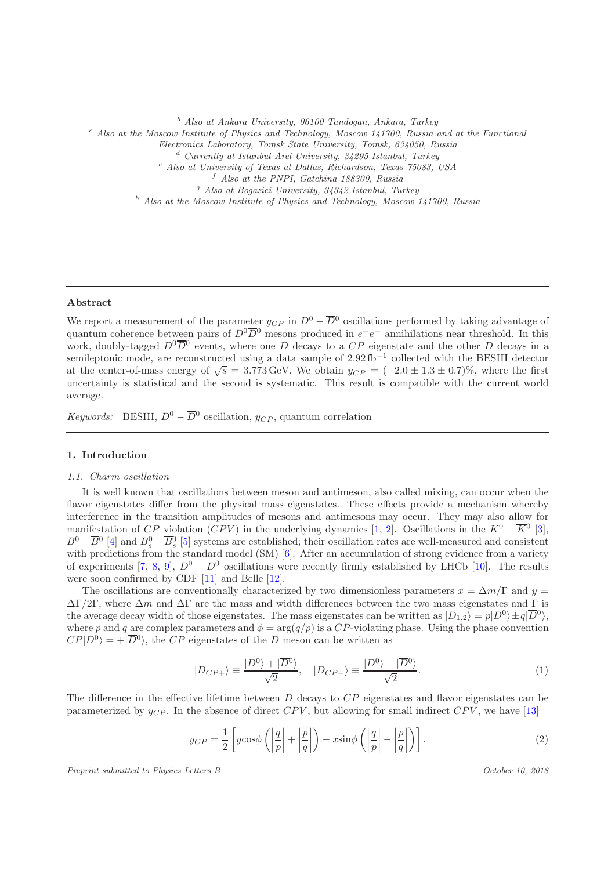<sup>b</sup> Also at Ankara University, 06100 Tandogan, Ankara, Turkey

 $c<sup>c</sup>$  Also at the Moscow Institute of Physics and Technology, Moscow 141700, Russia and at the Functional

Electronics Laboratory, Tomsk State University, Tomsk, 634050, Russia

<sup>d</sup> Currently at Istanbul Arel University, 34295 Istanbul, Turkey

<sup>e</sup> Also at University of Texas at Dallas, Richardson, Texas 75083, USA

 $f$  Also at the PNPI, Gatchina 188300, Russia

 $g$  Also at Bogazici University, 34342 Istanbul, Turkey

 $h$  Also at the Moscow Institute of Physics and Technology, Moscow 141700, Russia

#### Abstract

We report a measurement of the parameter  $y_{CP}$  in  $D^0 - \overline{D}{}^0$  oscillations performed by taking advantage of quantum coherence between pairs of  $D^0\overline{D}{}^0$  mesons produced in  $e^+e^-$  annihilations near threshold. In this work, doubly-tagged  $D^0\overline{D}{}^0$  events, where one D decays to a CP eigenstate and the other D decays in a semileptonic mode, are reconstructed using a data sample of 2.92 fb<sup>-1</sup> collected with the BESIII detector at the center-of-mass energy of  $\sqrt{s} = 3.773 \,\text{GeV}$ . We obtain  $y_{CP} = (-2.0 \pm 1.3 \pm 0.7)\%$ , where the first uncertainty is statistical and the second is systematic. This result is compatible with the current world average.

*Keywords:* BESIII,  $D^0 - \overline{D}{}^0$  oscillation,  $y_{CP}$ , quantum correlation

## 1. Introduction

## *1.1. Charm oscillation*

It is well known that oscillations between meson and antimeson, also called mixing, can occur when the flavor eigenstates differ from the physical mass eigenstates. These effects provide a mechanism whereby interference in the transition amplitudes of mesons and antimesons may occur. They may also allow for manifestation of  $CP$  violation  $(CPV)$  in the underlying dynamics [\[1](#page-11-0), [2\]](#page-11-1). Oscillations in the  $K^0 - \overline{K}^0$  [\[3](#page-11-2)],  $B^0 - \overline{B}^0$  [\[4\]](#page-11-3) and  $B_s^0 - \overline{B}_s^0$  [\[5](#page-11-4)] systems are established; their oscillation rates are well-measured and consistent with predictions from the standard model (SM) [\[6](#page-11-5)]. After an accumulation of strong evidence from a variety of experiments [\[7,](#page-11-6) [8](#page-11-7), [9](#page-11-8)],  $D^0 - \overline{D}{}^0$  oscillations were recently firmly established by LHCb [\[10](#page-11-9)]. The results were soon confirmed by CDF [\[11\]](#page-11-10) and Belle [\[12\]](#page-11-11).

The oscillations are conventionally characterized by two dimensionless parameters  $x = \Delta m/\Gamma$  and  $y =$  $\Delta\Gamma/2\Gamma$ , where  $\Delta m$  and  $\Delta\Gamma$  are the mass and width differences between the two mass eigenstates and  $\Gamma$  is the average decay width of those eigenstates. The mass eigenstates can be written as  $|D_{1,2}\rangle = p|D^0\rangle \pm q|\overline{D}^0\rangle$ , where p and q are complex parameters and  $\phi = \arg(q/p)$  is a CP-violating phase. Using the phase convention  $CP|D^0\rangle = +|\overline{D}{}^0\rangle$ , the CP eigenstates of the D meson can be written as

$$
|D_{CP+}\rangle \equiv \frac{|D^0\rangle + |\overline{D}^0\rangle}{\sqrt{2}}, \quad |D_{CP-}\rangle \equiv \frac{|D^0\rangle - |\overline{D}^0\rangle}{\sqrt{2}}.
$$
 (1)

The difference in the effective lifetime between D decays to CP eigenstates and flavor eigenstates can be parameterized by  $y_{CP}$ . In the absence of direct  $CPV$ , but allowing for small indirect  $CPV$ , we have [\[13\]](#page-11-12)

$$
y_{CP} = \frac{1}{2} \left[ y \cos \phi \left( \left| \frac{q}{p} \right| + \left| \frac{p}{q} \right| \right) - x \sin \phi \left( \left| \frac{q}{p} \right| - \left| \frac{p}{q} \right| \right) \right].
$$
 (2)

Preprint submitted to Physics Letters B  $October\ 10, \ 2018$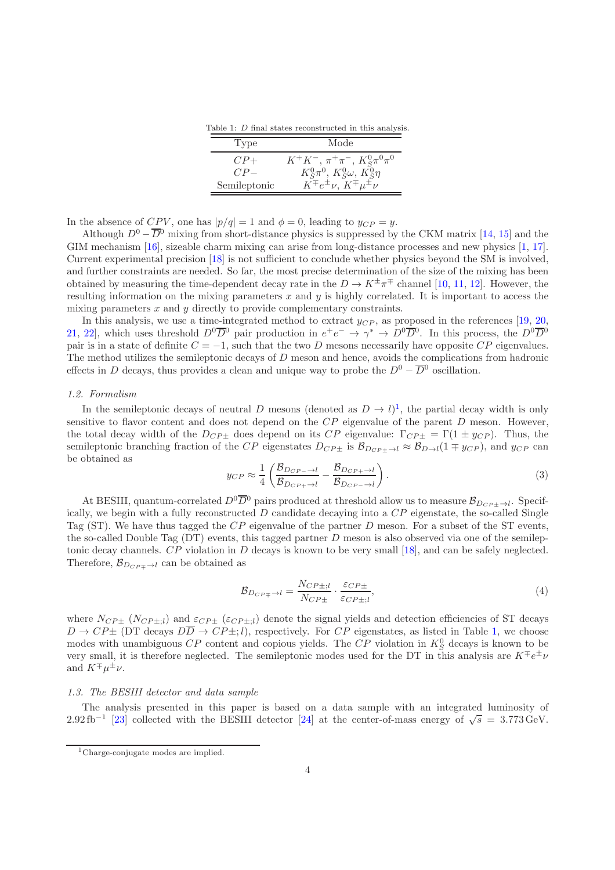Table 1: D final states reconstructed in this analysis.

<span id="page-3-1"></span>

| 'Type        | Mode                                          |
|--------------|-----------------------------------------------|
| $CP+$        | $K^+K^-$ , $\pi^+\pi^-$ , $K^0_S\pi^0\pi^0$   |
| $CP-$        | $K_S^0 \pi^0$ , $K_S^0 \omega$ , $K_S^0 \eta$ |
| Semileptonic | $K^{\mp}e^{\pm}\nu, K^{\mp}\mu^{\pm}\nu$      |

In the absence of  $CPV$ , one has  $|p/q| = 1$  and  $\phi = 0$ , leading to  $y_{CP} = y$ .

Although  $D^{0} - \overline{D}^{0}$  mixing from short-distance physics is suppressed by the CKM matrix [\[14,](#page-12-0) [15](#page-12-1)] and the GIM mechanism [\[16](#page-12-2)], sizeable charm mixing can arise from long-distance processes and new physics [\[1](#page-11-0), [17](#page-12-3)]. Current experimental precision [\[18\]](#page-12-4) is not sufficient to conclude whether physics beyond the SM is involved, and further constraints are needed. So far, the most precise determination of the size of the mixing has been obtained by measuring the time-dependent decay rate in the  $D \to K^{\pm} \pi^{\mp}$  channel [\[10](#page-11-9), [11,](#page-11-10) [12\]](#page-11-11). However, the resulting information on the mixing parameters x and y is highly correlated. It is important to access the mixing parameters  $x$  and  $y$  directly to provide complementary constraints.

In this analysis, we use a time-integrated method to extract  $y_{CP}$ , as proposed in the references [\[19,](#page-12-5) [20](#page-12-6), [21,](#page-12-7) [22](#page-12-8)], which uses threshold  $D^0\overline{D}{}^0$  pair production in  $e^+e^- \to \gamma^* \to D^0\overline{D}{}^0$ . In this process, the  $D^0\overline{D}{}^0$ pair is in a state of definite  $C = -1$ , such that the two D mesons necessarily have opposite  $CP$  eigenvalues. The method utilizes the semileptonic decays of D meson and hence, avoids the complications from hadronic effects in D decays, thus provides a clean and unique way to probe the  $D^0 - \overline{D}{}^0$  oscillation.

## *1.2. Formalism*

In the semileptonic decays of neutral D mesons (denoted as  $D \to l$ )<sup>[1](#page-3-0)</sup>, the partial decay width is only sensitive to flavor content and does not depend on the  $CP$  eigenvalue of the parent  $D$  meson. However, the total decay width of the  $D_{CP\pm}$  does depend on its  $CP$  eigenvalue:  $\Gamma_{CP\pm} = \Gamma(1 \pm y_{CP})$ . Thus, the semileptonic branching fraction of the CP eigenstates  $D_{CP\pm}$  is  $\mathcal{B}_{D_{CP\pm}\to l} \approx \mathcal{B}_{D\to l}(1 \mp y_{CP})$ , and  $y_{CP}$  can be obtained as

<span id="page-3-2"></span>
$$
y_{CP} \approx \frac{1}{4} \left( \frac{\mathcal{B}_{D_{CP-} \to l}}{\mathcal{B}_{D_{CP+} \to l}} - \frac{\mathcal{B}_{D_{CP+} \to l}}{\mathcal{B}_{D_{CP-} \to l}} \right). \tag{3}
$$

At BESIII, quantum-correlated  $D^0\overline{D}^0$  pairs produced at threshold allow us to measure  $\mathcal{B}_{D_{CP\pm}\to l}$ . Specifically, we begin with a fully reconstructed  $D$  candidate decaying into a  $\overline{CP}$  eigenstate, the so-called Single Tag (ST). We have thus tagged the  $CP$  eigenvalue of the partner  $D$  meson. For a subset of the ST events, the so-called Double Tag (DT) events, this tagged partner D meson is also observed via one of the semileptonic decay channels. CP violation in D decays is known to be very small [\[18](#page-12-4)], and can be safely neglected. Therefore,  $\mathcal{B}_{D_{CP\mp}\to l}$  can be obtained as

$$
\mathcal{B}_{D_{CP\mp} \to l} = \frac{N_{CP\pm;l}}{N_{CP\pm}} \cdot \frac{\varepsilon_{CP\pm}}{\varepsilon_{CP\pm;l}},\tag{4}
$$

where  $N_{CP\pm}$  ( $N_{CP\pm,l}$ ) and  $\varepsilon_{CP\pm}$  ( $\varepsilon_{CP\pm,l}$ ) denote the signal yields and detection efficiencies of ST decays  $D \to CP\pm$  (DT decays  $D\overline{D} \to CP\pm; l$ ), respectively. For  $CP$  eigenstates, as listed in Table [1,](#page-3-1) we choose modes with unambiguous  $\mathbb{CP}$  content and copious yields. The  $\mathbb{CP}$  violation in  $K_S^0$  decays is known to be very small, it is therefore neglected. The semileptonic modes used for the DT in this analysis are  $K^{\mp}e^{\pm}\nu$ and  $K^{\mp}\mu^{\pm}\nu$ .

#### *1.3. The BESIII detector and data sample*

The analysis presented in this paper is based on a data sample with an integrated luminosity of 2.92 fb<sup>-1</sup> [\[23\]](#page-12-9) collected with the BESIII detector [\[24](#page-12-10)] at the center-of-mass energy of  $\sqrt{s} = 3.773 \text{ GeV}$ .

<span id="page-3-0"></span><sup>1</sup>Charge-conjugate modes are implied.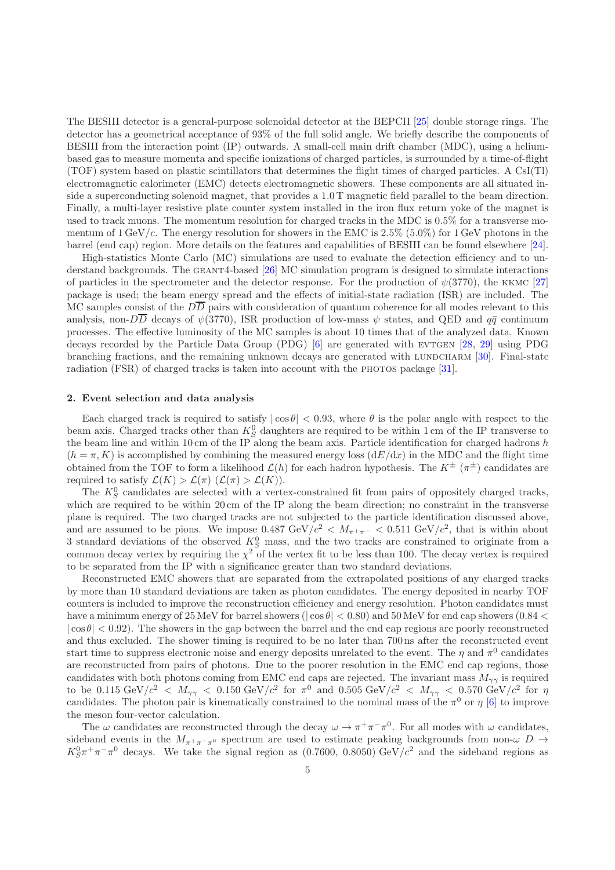The BESIII detector is a general-purpose solenoidal detector at the BEPCII [\[25\]](#page-12-11) double storage rings. The detector has a geometrical acceptance of 93% of the full solid angle. We briefly describe the components of BESIII from the interaction point (IP) outwards. A small-cell main drift chamber (MDC), using a heliumbased gas to measure momenta and specific ionizations of charged particles, is surrounded by a time-of-flight (TOF) system based on plastic scintillators that determines the flight times of charged particles. A CsI(Tl) electromagnetic calorimeter (EMC) detects electromagnetic showers. These components are all situated inside a superconducting solenoid magnet, that provides a 1.0 T magnetic field parallel to the beam direction. Finally, a multi-layer resistive plate counter system installed in the iron flux return yoke of the magnet is used to track muons. The momentum resolution for charged tracks in the MDC is 0.5% for a transverse momentum of  $1 \text{ GeV}/c$ . The energy resolution for showers in the EMC is  $2.5\%$  (5.0%) for 1 GeV photons in the barrel (end cap) region. More details on the features and capabilities of BESIII can be found elsewhere [\[24](#page-12-10)].

High-statistics Monte Carlo (MC) simulations are used to evaluate the detection efficiency and to understand backgrounds. The geant4-based [\[26\]](#page-12-12) MC simulation program is designed to simulate interactions of particles in the spectrometer and the detector response. For the production of  $\psi(3770)$ , the KKMC [\[27](#page-12-13)] package is used; the beam energy spread and the effects of initial-state radiation (ISR) are included. The MC samples consist of the  $D\overline{D}$  pairs with consideration of quantum coherence for all modes relevant to this analysis, non- $D\overline{D}$  decays of  $\psi(3770)$ , ISR production of low-mass  $\psi$  states, and QED and  $q\bar{q}$  continuum processes. The effective luminosity of the MC samples is about 10 times that of the analyzed data. Known decays recorded by the Particle Data Group (PDG) [\[6\]](#page-11-5) are generated with EVTGEN [\[28](#page-12-14), [29](#page-12-15)] using PDG branching fractions, and the remaining unknown decays are generated with LUNDCHARM [\[30\]](#page-12-16). Final-state radiation (FSR) of charged tracks is taken into account with the PHOTOS package [\[31](#page-12-17)].

#### 2. Event selection and data analysis

Each charged track is required to satisfy  $|\cos \theta| < 0.93$ , where  $\theta$  is the polar angle with respect to the beam axis. Charged tracks other than  $K_S^0$  daughters are required to be within 1 cm of the IP transverse to the beam line and within 10 cm of the IP along the beam axis. Particle identification for charged hadrons  $h$  $(h = \pi, K)$  is accomplished by combining the measured energy loss  $(dE/dx)$  in the MDC and the flight time obtained from the TOF to form a likelihood  $\mathcal{L}(h)$  for each hadron hypothesis. The  $K^{\pm}(\pi^{\pm})$  candidates are required to satisfy  $\mathcal{L}(K) > \mathcal{L}(\pi)$   $(\mathcal{L}(\pi) > \mathcal{L}(K))$ .

The  $K_S^0$  candidates are selected with a vertex-constrained fit from pairs of oppositely charged tracks, which are required to be within 20 cm of the IP along the beam direction; no constraint in the transverse plane is required. The two charged tracks are not subjected to the particle identification discussed above, and are assumed to be pions. We impose  $0.487 \text{ GeV}/c^2 < M_{\pi^+\pi^-} < 0.511 \text{ GeV}/c^2$ , that is within about 3 standard deviations of the observed  $K_S^0$  mass, and the two tracks are constrained to originate from a common decay vertex by requiring the  $\chi^2$  of the vertex fit to be less than 100. The decay vertex is required to be separated from the IP with a significance greater than two standard deviations.

Reconstructed EMC showers that are separated from the extrapolated positions of any charged tracks by more than 10 standard deviations are taken as photon candidates. The energy deposited in nearby TOF counters is included to improve the reconstruction efficiency and energy resolution. Photon candidates must have a minimum energy of  $25 \text{ MeV}$  for barrel showers ( $|\cos \theta|$  < 0.80) and  $50 \text{ MeV}$  for end cap showers (0.84 <  $|\cos \theta|$  < 0.92). The showers in the gap between the barrel and the end cap regions are poorly reconstructed and thus excluded. The shower timing is required to be no later than 700 ns after the reconstructed event start time to suppress electronic noise and energy deposits unrelated to the event. The  $\eta$  and  $\pi^0$  candidates are reconstructed from pairs of photons. Due to the poorer resolution in the EMC end cap regions, those candidates with both photons coming from EMC end caps are rejected. The invariant mass  $M_{\gamma\gamma}$  is required to be 0.115 GeV/ $c^2$  <  $M_{\gamma\gamma}$  < 0.150 GeV/ $c^2$  for  $\pi^0$  and 0.505 GeV/ $c^2$  <  $M_{\gamma\gamma}$  < 0.570 GeV/ $c^2$  for  $\eta$ candidates. The photon pair is kinematically constrained to the nominal mass of the  $\pi^0$  or  $\eta$  [\[6](#page-11-5)] to improve the meson four-vector calculation.

The  $\omega$  candidates are reconstructed through the decay  $\omega \to \pi^+\pi^-\pi^0$ . For all modes with  $\omega$  candidates, sideband events in the  $M_{\pi^+\pi^-\pi^0}$  spectrum are used to estimate peaking backgrounds from non- $\omega$  D  $\rightarrow$  $K_S^0 \pi^+ \pi^- \pi^0$  decays. We take the signal region as (0.7600, 0.8050) GeV/ $c^2$  and the sideband regions as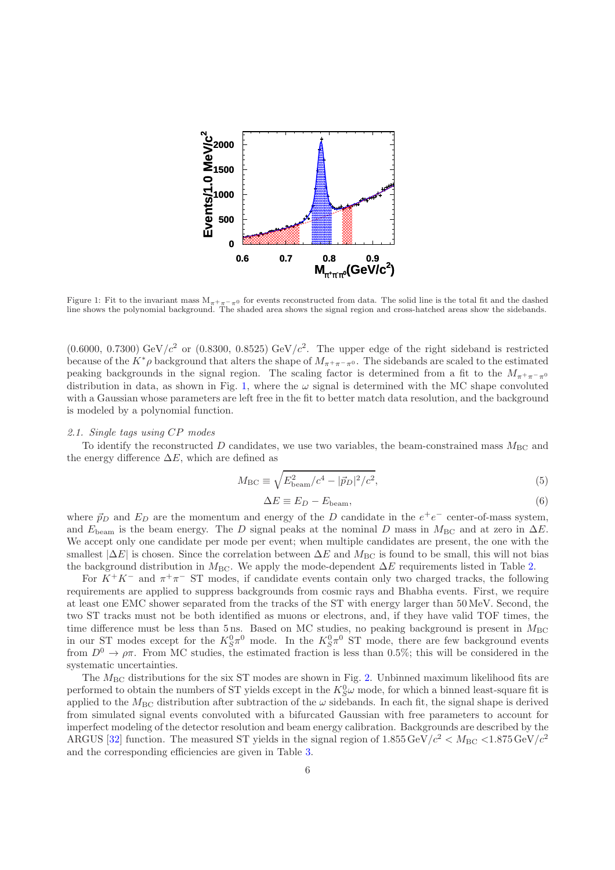

<span id="page-5-0"></span>Figure 1: Fit to the invariant mass  $M_{\pi+\pi-\pi0}$  for events reconstructed from data. The solid line is the total fit and the dashed<br>line shows the polynomial background. The shaded area shows the signal region and cross-h

 $(0.6000, 0.7300)$  GeV/ $c<sup>2</sup>$  or  $(0.8300, 0.8525)$  GeV/ $c<sup>2</sup>$ . The upper edge of the right sideband is restricted because of the  $K^*\rho$  background that alters the shape of  $M_{\pi^+\pi^-\pi^0}$ . The sidebands are scaled to the estimated peaking backgrounds in the signal region. The scaling factor is determined from a fit to the  $M_{\pi^+\pi^-\pi^0}$ distribution in data, as shown in Fig. [1,](#page-5-0) where the  $\omega$  signal is determined with the MC shape convoluted with a Gaussian whose parameters are left free in the fit to better match data resolution, and the background is modeled by a polynomial function.

## *2.1. Single tags using* CP *modes*

To identify the reconstructed D candidates, we use two variables, the beam-constrained mass  $M_{\text{BC}}$  and the energy difference  $\Delta E$ , which are defined as

$$
M_{\rm BC} \equiv \sqrt{E_{\rm beam}^2/c^4 - |\vec{p}_D|^2/c^2},\tag{5}
$$

$$
\Delta E \equiv E_D - E_{\text{beam}},\tag{6}
$$

where  $\vec{p}_D$  and  $E_D$  are the momentum and energy of the D candidate in the  $e^+e^-$  center-of-mass system, and  $E_{\text{beam}}$  is the beam energy. The D signal peaks at the nominal D mass in  $M_{\text{BC}}$  and at zero in  $\Delta E$ . We accept only one candidate per mode per event; when multiple candidates are present, the one with the smallest  $|\Delta E|$  is chosen. Since the correlation between  $\Delta E$  and  $M_{\text{BC}}$  is found to be small, this will not bias the background distribution in  $M_{\text{BC}}$ . We apply the mode-dependent  $\Delta E$  requirements listed in Table [2.](#page-6-0)

For  $K^+K^-$  and  $\pi^+\pi^-$  ST modes, if candidate events contain only two charged tracks, the following requirements are applied to suppress backgrounds from cosmic rays and Bhabha events. First, we require at least one EMC shower separated from the tracks of the ST with energy larger than 50 MeV. Second, the two ST tracks must not be both identified as muons or electrons, and, if they have valid TOF times, the time difference must be less than 5 ns. Based on MC studies, no peaking background is present in  $M_{\rm BC}$ in our ST modes except for the  $K_S^0 \pi^0$  mode. In the  $K_S^0 \pi^0$  ST mode, there are few background events from  $D^0 \to \rho \pi$ . From MC studies, the estimated fraction is less than 0.5%; this will be considered in the systematic uncertainties.

The  $M_{\rm BC}$  distributions for the six ST modes are shown in Fig. [2.](#page-6-1) Unbinned maximum likelihood fits are performed to obtain the numbers of ST yields except in the  $K_S^0\omega$  mode, for which a binned least-square fit is applied to the  $M_{\text{BC}}$  distribution after subtraction of the  $\omega$  sidebands. In each fit, the signal shape is derived from simulated signal events convoluted with a bifurcated Gaussian with free parameters to account for imperfect modeling of the detector resolution and beam energy calibration. Backgrounds are described by the ARGUS [\[32\]](#page-12-18) function. The measured ST yields in the signal region of  $1.855 \,\text{GeV}/c^2 < M_{\text{BC}} < 1.875 \,\text{GeV}/c^2$ and the corresponding efficiencies are given in Table [3.](#page-7-0)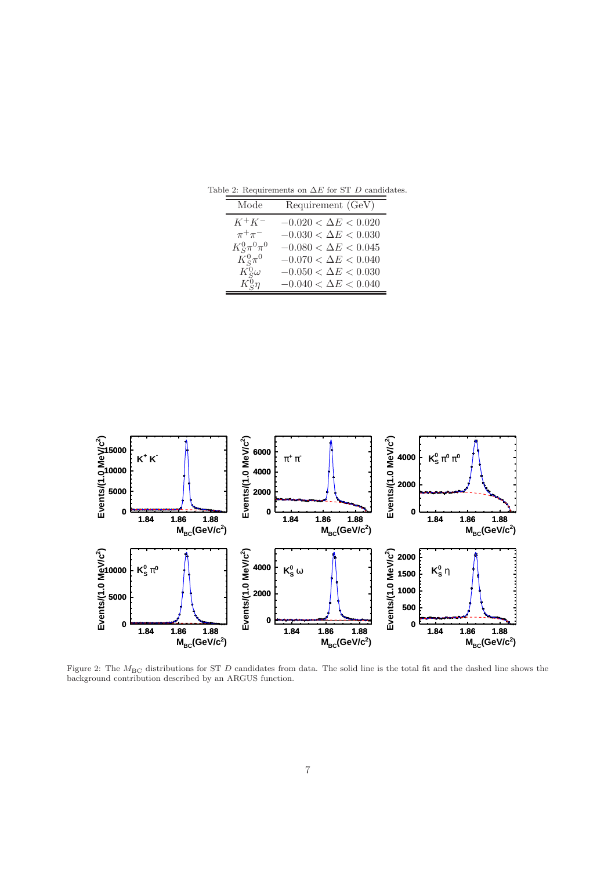<span id="page-6-0"></span>

| Mode                | Requirement (GeV)           |
|---------------------|-----------------------------|
| $K^+K^-$            | $-0.020 < \Delta E < 0.020$ |
| $\pi^+\pi^-$        | $-0.030 < \Delta E < 0.030$ |
| $K_S^0 \pi^0 \pi^0$ | $-0.080 < \Delta E < 0.045$ |
| $K_S^0\pi^0$        | $-0.070 < \Delta E < 0.040$ |
| $K^0_S\omega$       | $-0.050 < \Delta E < 0.030$ |
| $K_S^0\eta$         | $-0.040 < \Delta E < 0.040$ |

Table 2: Requirements on  $\Delta E$  for ST  $D$  candidates.



<span id="page-6-1"></span>Figure 2: The  $M_{\text{BC}}$  distributions for ST D candidates from data. The solid line is the total fit and the dashed line shows the background contribution described by an ARGUS function.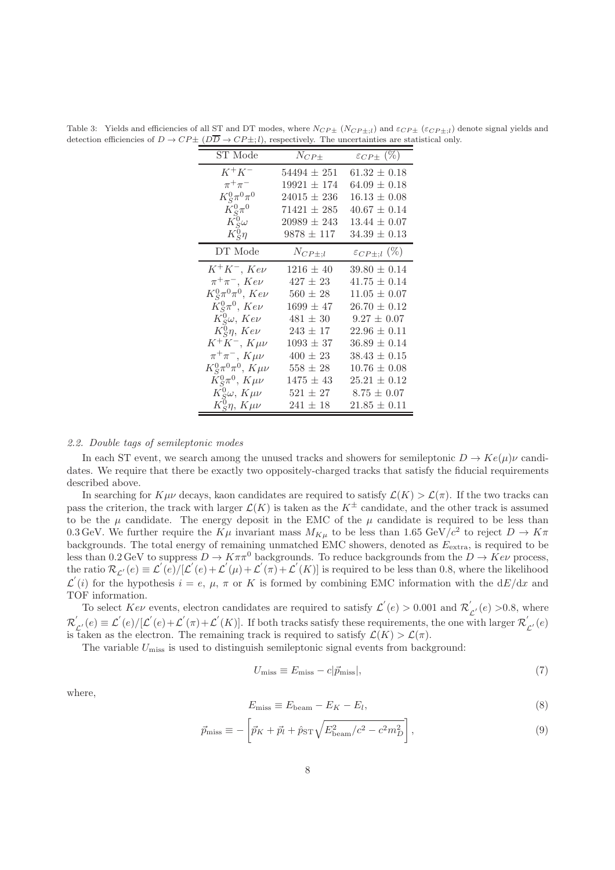| ST Mode                           | $N_{CP\pm}$     | $\varepsilon_{CP\pm}$ (%)   |
|-----------------------------------|-----------------|-----------------------------|
| $K^+K^-$                          | $54494 \pm 251$ | $61.32 \pm 0.18$            |
| $\pi^+\pi^-$                      | $19921 \pm 174$ | $64.09 \pm 0.18$            |
| $K_S^0 \pi^0 \pi^0$               | $24015 \pm 236$ | $16.13 \pm 0.08$            |
| $K_S^0\pi^0$                      | $71421 \pm 285$ | $40.67 \pm 0.14$            |
| $K^0_S\omega$                     | $20989 \pm 243$ | $13.44 \pm 0.07$            |
| $K_{\mathcal{S}}^0\eta$           | $9878 \pm 117$  | $34.39 \pm 0.13$            |
| DT Mode                           | $N_{CP\pm;l}$   | $\varepsilon_{CP\pm;l}$ (%) |
| $K^+K^-$ , $Ke\nu$                | $1216 \pm 40$   | $39.80 \pm 0.14$            |
| $\pi^+\pi^-$ , $Ke\nu$            | $427 \pm 23$    | $41.75 \pm 0.14$            |
| $K_S^0\pi^0\pi^0$ , $Ke\nu$       | $560 \pm 28$    | $11.05 \pm 0.07$            |
| $K_S^0\pi^0$ , $Ke\nu$            | $1699 \pm 47$   | $26.70 \pm 0.12$            |
| $K^0_S\omega, Ke\nu$              | $481 \pm 30$    | $9.27 \pm 0.07$             |
| $K_S^0\eta$ , $Ke\nu$             | $243 \pm 17$    | $22.96 \pm 0.11$            |
| $K^+K^-$ , $K\mu\nu$              | $1093 \pm 37$   | $36.89 \pm 0.14$            |
| $\pi^+\pi^-$ , $K\mu\nu$          | $400 \pm 23$    | $38.43 \pm 0.15$            |
| $K_S^0 \pi^0 \pi^0$ , $K \mu \nu$ | $558 \pm 28$    | $10.76 \pm 0.08$            |
| $K_S^0\pi^0$ , $K\mu\nu$          | $1475 \pm 43$   | $25.21 \pm 0.12$            |
| $K^0_S\omega, K\mu\nu$            | $521 \pm 27$    | $8.75 \pm 0.07$             |
| $K^0_S\eta, K\mu\nu$              | $241 \pm 18$    | $21.85 \pm 0.11$            |

<span id="page-7-0"></span>Table 3: Yields and efficiencies of all ST and DT modes, where  $N_{CP\pm}$  ( $N_{CP\pm;l}$ ) and  $\varepsilon_{CP\pm}$  ( $\varepsilon_{CP\pm;l}$ ) denote signal yields and detection efficiencies of  $D \to CP\pm (D\overline{D} \to CP\pm; l)$ , respectively. The uncertainties are statistical only.

#### *2.2. Double tags of semileptonic modes*

In each ST event, we search among the unused tracks and showers for semileptonic  $D \to K e(\mu)\nu$  candidates. We require that there be exactly two oppositely-charged tracks that satisfy the fiducial requirements described above.

In searching for  $K\mu\nu$  decays, kaon candidates are required to satisfy  $\mathcal{L}(K) > \mathcal{L}(\pi)$ . If the two tracks can pass the criterion, the track with larger  $\mathcal{L}(K)$  is taken as the  $K^{\pm}$  candidate, and the other track is assumed to be the  $\mu$  candidate. The energy deposit in the EMC of the  $\mu$  candidate is required to be less than 0.3 GeV. We further require the  $K\mu$  invariant mass  $M_{K\mu}$  to be less than 1.65 GeV/ $c^2$  to reject  $D \to K\pi$ backgrounds. The total energy of remaining unmatched EMC showers, denoted as  $E_{\text{extra}}$ , is required to be less than 0.2 GeV to suppress  $D \to K \pi \pi^0$  backgrounds. To reduce backgrounds from the  $D \to K e \nu$  process, the ratio  $\mathcal{R}_{\mathcal{L}'}(e) \equiv \mathcal{L}'(e) / [\mathcal{L}'(e) + \mathcal{L}'(\mu) + \mathcal{L}'(\pi) + \mathcal{L}'(K)]$  is required to be less than 0.8, where the likelihood  $\mathcal{L}'(i)$  for the hypothesis  $i = e, \mu, \pi$  or K is formed by combining EMC information with the  $dE/dx$  and TOF information.

To select  $Ke\nu$  events, electron candidates are required to satisfy  $\mathcal{L}^{'}(e) > 0.001$  and  $\mathcal{R}^{'}_k$  $\mathcal{L}'(e) > 0.8$ , where  $\mathcal{R}^{'}_I$  $\mathcal{L}'(e) \equiv \mathcal{L}'(e)/[\mathcal{L}'(e) + \mathcal{L}'(\pi) + \mathcal{L}'(K)]$ . If both tracks satisfy these requirements, the one with larger  $\mathcal{R}'_k$  $\mathcal{L}^{\prime}\left( e\right)$ is taken as the electron. The remaining track is required to satisfy  $\mathcal{L}(K) > \mathcal{L}(\pi)$ .

The variable  $U_{\text{miss}}$  is used to distinguish semileptonic signal events from background:

$$
U_{\rm miss} \equiv E_{\rm miss} - c|\vec{p}_{\rm miss}|,\tag{7}
$$

where,

$$
E_{\text{miss}} \equiv E_{\text{beam}} - E_K - E_l,\tag{8}
$$

$$
\vec{p}_{\text{miss}} \equiv -\left[\vec{p}_K + \vec{p}_l + \hat{p}_{\text{ST}}\sqrt{E_{\text{beam}}^2/c^2 - c^2m_D^2}\right],\tag{9}
$$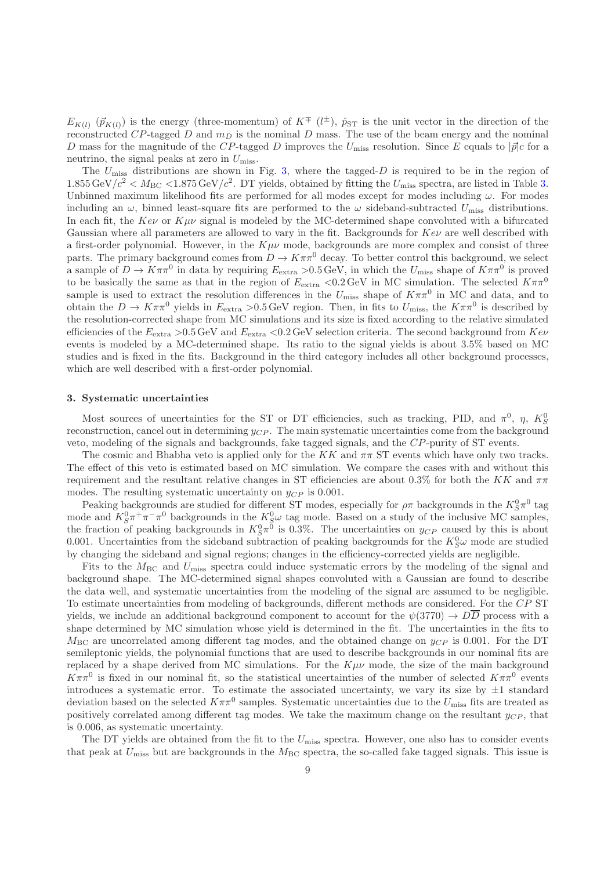$E_{K(l)}(\vec{p}_{K(l)})$  is the energy (three-momentum) of  $K^{\pm}(l^{\pm})$ ,  $\hat{p}_{ST}$  is the unit vector in the direction of the reconstructed CP-tagged D and  $m<sub>D</sub>$  is the nominal D mass. The use of the beam energy and the nominal D mass for the magnitude of the CP-tagged D improves the  $U_{\text{miss}}$  resolution. Since E equals to  $|\vec{p}|c$  for a neutrino, the signal peaks at zero in  $U_{\text{miss}}$ .

The  $U_{\text{miss}}$  distributions are shown in Fig. [3,](#page-9-0) where the tagged-D is required to be in the region of  $1.855 \,\text{GeV}/c^2 < M_{\text{BC}} < 1.875 \,\text{GeV}/c^2$ . DT yields, obtained by fitting the  $U_{\text{miss}}$  spectra, are listed in Table [3.](#page-7-0) Unbinned maximum likelihood fits are performed for all modes except for modes including  $\omega$ . For modes including an  $\omega$ , binned least-square fits are performed to the  $\omega$  sideband-subtracted  $U_{\rm miss}$  distributions. In each fit, the  $Kev$  or  $K\mu\nu$  signal is modeled by the MC-determined shape convoluted with a bifurcated Gaussian where all parameters are allowed to vary in the fit. Backgrounds for  $Ke\nu$  are well described with a first-order polynomial. However, in the  $K\mu\nu$  mode, backgrounds are more complex and consist of three parts. The primary background comes from  $D \to K \pi \pi^0$  decay. To better control this background, we select a sample of  $D \to K \pi \pi^0$  in data by requiring  $E_{\text{extra}} > 0.5 \,\text{GeV}$ , in which the  $U_{\text{miss}}$  shape of  $K \pi \pi^0$  is proved to be basically the same as that in the region of  $E_{\text{extra}} < 0.2 \,\text{GeV}$  in MC simulation. The selected  $K\pi\pi^{0}$ sample is used to extract the resolution differences in the  $U_{\text{miss}}$  shape of  $K\pi\pi^0$  in MC and data, and to obtain the  $D \to K \pi \pi^0$  yields in  $E_{\text{extra}} > 0.5 \text{ GeV}$  region. Then, in fits to  $U_{\text{miss}}$ , the  $K \pi \pi^0$  is described by the resolution-corrected shape from MC simulations and its size is fixed according to the relative simulated efficiencies of the  $E_{\text{extra}} > 0.5 \,\text{GeV}$  and  $E_{\text{extra}} < 0.2 \,\text{GeV}$  selection criteria. The second background from  $Kev$ events is modeled by a MC-determined shape. Its ratio to the signal yields is about 3.5% based on MC studies and is fixed in the fits. Background in the third category includes all other background processes, which are well described with a first-order polynomial.

#### 3. Systematic uncertainties

Most sources of uncertainties for the ST or DT efficiencies, such as tracking, PID, and  $\pi^0$ ,  $\eta$ ,  $K_S^0$ reconstruction, cancel out in determining  $y_{CP}$ . The main systematic uncertainties come from the background veto, modeling of the signals and backgrounds, fake tagged signals, and the CP-purity of ST events.

The cosmic and Bhabha veto is applied only for the  $KK$  and  $\pi\pi$  ST events which have only two tracks. The effect of this veto is estimated based on MC simulation. We compare the cases with and without this requirement and the resultant relative changes in ST efficiencies are about 0.3% for both the KK and  $\pi\pi$ modes. The resulting systematic uncertainty on  $y_{CP}$  is 0.001.

Peaking backgrounds are studied for different ST modes, especially for  $\rho\pi$  backgrounds in the  $K^0_S\pi^0$  tag mode and  $K_S^0 \pi^+ \pi^- \pi^0$  backgrounds in the  $K_S^0 \omega$  tag mode. Based on a study of the inclusive MC samples, the fraction of peaking backgrounds in  $K_S^0 \pi^0$  is 0.3%. The uncertainties on  $y_{CP}$  caused by this is about 0.001. Uncertainties from the sideband subtraction of peaking backgrounds for the  $K_S^0\omega$  mode are studied by changing the sideband and signal regions; changes in the efficiency-corrected yields are negligible.

Fits to the  $M_{\text{BC}}$  and  $U_{\text{miss}}$  spectra could induce systematic errors by the modeling of the signal and background shape. The MC-determined signal shapes convoluted with a Gaussian are found to describe the data well, and systematic uncertainties from the modeling of the signal are assumed to be negligible. To estimate uncertainties from modeling of backgrounds, different methods are considered. For the CP ST yields, we include an additional background component to account for the  $\psi(3770) \to D\overline{D}$  process with a shape determined by MC simulation whose yield is determined in the fit. The uncertainties in the fits to  $M_{\rm BC}$  are uncorrelated among different tag modes, and the obtained change on  $y_{CP}$  is 0.001. For the DT semileptonic yields, the polynomial functions that are used to describe backgrounds in our nominal fits are replaced by a shape derived from MC simulations. For the  $K\mu\nu$  mode, the size of the main background  $K\pi\pi^0$  is fixed in our nominal fit, so the statistical uncertainties of the number of selected  $K\pi\pi^0$  events introduces a systematic error. To estimate the associated uncertainty, we vary its size by  $\pm 1$  standard deviation based on the selected  $K\pi\pi^0$  samples. Systematic uncertainties due to the  $U_{\text{miss}}$  fits are treated as positively correlated among different tag modes. We take the maximum change on the resultant  $y_{CP}$ , that is 0.006, as systematic uncertainty.

The DT yields are obtained from the fit to the  $U_{\text{miss}}$  spectra. However, one also has to consider events that peak at  $U_{\text{miss}}$  but are backgrounds in the  $M_{\text{BC}}$  spectra, the so-called fake tagged signals. This issue is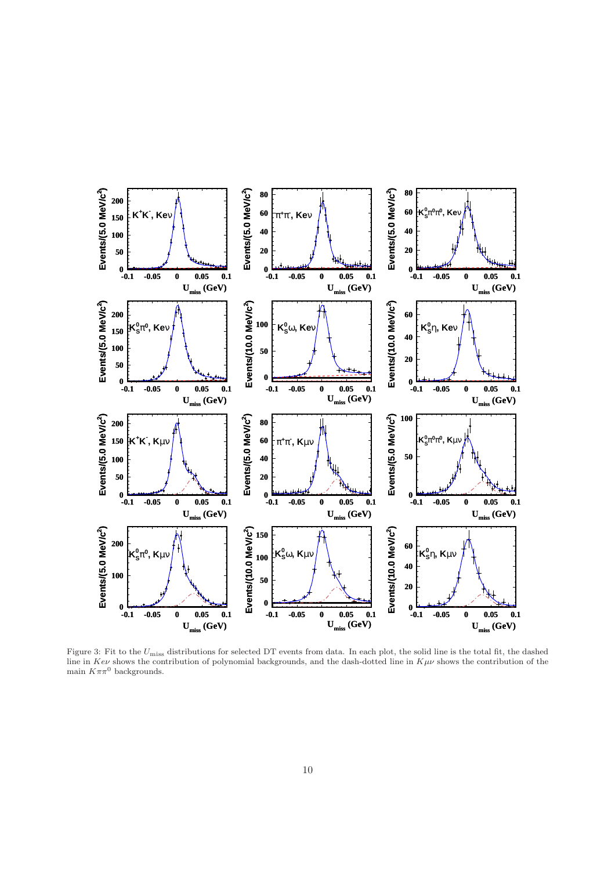

<span id="page-9-0"></span>Figure 3: Fit to the  $U_{\text{miss}}$  distributions for selected DT events from data. In each plot, the solid line is the total fit, the dashed line in Kev shows the contribution of polynomial backgrounds, and the dash-dotted line in  $K\mu\nu$  shows the contribution of the main  $K\pi\pi^0$  backgrounds.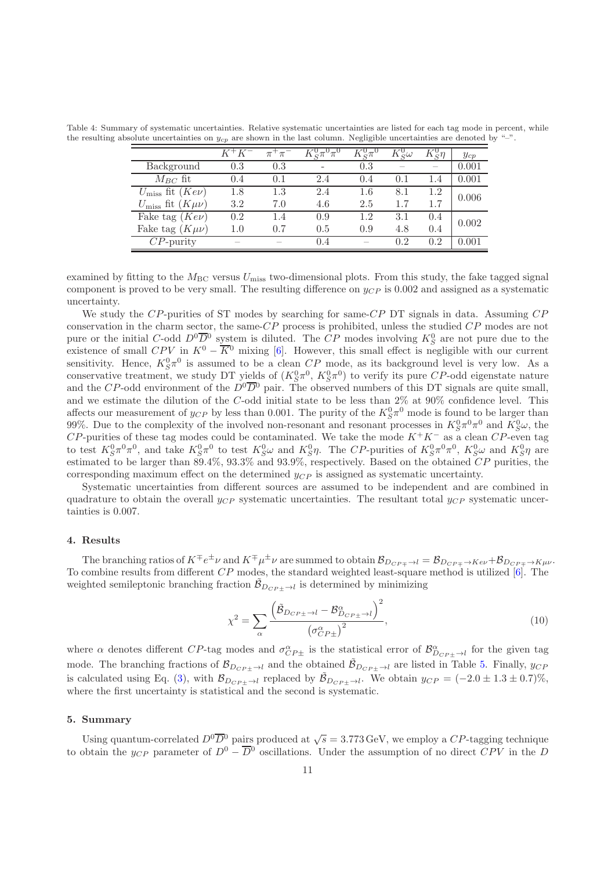Table 4: Summary of systematic uncertainties. Relative systematic uncertainties are listed for each tag mode in percent, while the resulting absolute uncertainties on  $y_{cp}$  are shown in the last column. Negligible uncertainties are denoted by "–".

|                                          | $K^+K^-$                 | $\pi^+\pi^-$             | $\sigma^0 \pi^0 \pi^0$ | $K^0_s\pi^0$ | $\tilde{\epsilon} \omega$ | $\breve{\circ}$ T | $y_{cp}$  |
|------------------------------------------|--------------------------|--------------------------|------------------------|--------------|---------------------------|-------------------|-----------|
| Background                               | 0.3                      | 0.3                      |                        | 0.3          |                           |                   | 0.001     |
| $M_{BC}$ fit                             | 0.4                      | (0,1)                    | 2.4                    | 0.4          | $(1)$ . 1                 | 1.4               | $0.001\,$ |
| $U_{\text{miss}}$ fit $\overline{(Kev)}$ | 1.8                      | 1.3                      | 2.4                    | 1.6          | 8.1                       | 1.2               | 0.006     |
| $U_{\rm miss}$ fit $(K\mu\nu)$           | 3.2                      | 7.0                      | 4.6                    | 2.5          | 1.7                       | 1.7               |           |
| Fake tag $(Kev)$                         | 0.2                      | 1.4                      | 0.9                    | 1.2          | 3.1                       | (0.4)             | 0.002     |
| Fake tag $(K \mu \nu)$                   | $1.0\,$                  | 0.7                      | 0.5                    | 0.9          | 4.8                       | 0.4               |           |
| $CP$ -purity                             | $\overline{\phantom{a}}$ | $\overline{\phantom{a}}$ | 0.4                    | $-$          | 0.2                       | 0.2               |           |

examined by fitting to the  $M_{\text{BC}}$  versus  $U_{\text{miss}}$  two-dimensional plots. From this study, the fake tagged signal component is proved to be very small. The resulting difference on  $y_{CP}$  is 0.002 and assigned as a systematic uncertainty.

We study the  $CP$ -purities of ST modes by searching for same- $CP$  DT signals in data. Assuming  $CP$ conservation in the charm sector, the same-CP process is prohibited, unless the studied CP modes are not pure or the initial C-odd  $D^0\overline{D}{}^0$  system is diluted. The CP modes involving  $K_S^0$  are not pure due to the existence of small  $CPV$  in  $K^0 - \overline{K}{}^0$  mixing [\[6](#page-11-5)]. However, this small effect is negligible with our current sensitivity. Hence,  $K_S^0 \pi^0$  is assumed to be a clean  $\mathbb{C}P$  mode, as its background level is very low. As a conservative treatment, we study DT yields of  $(K_S^0 \pi^0, K_S^0 \pi^0)$  to verify its pure CP-odd eigenstate nature and the CP-odd environment of the  $D^0\overline{D}{}^0$  pair. The observed numbers of this DT signals are quite small, and we estimate the dilution of the C-odd initial state to be less than 2% at 90% confidence level. This affects our measurement of  $y_{CP}$  by less than 0.001. The purity of the  $K^0_S\pi^0$  mode is found to be larger than 99%. Due to the complexity of the involved non-resonant and resonant processes in  $K_S^0\pi^0\pi^0$  and  $K_S^0\omega$ , the  $CP$ -purities of these tag modes could be contaminated. We take the mode  $K^+K^-$  as a clean  $CP$ -even tag to test  $K_S^0 \pi^0 \pi^0$ , and take  $K_S^0 \pi^0$  to test  $K_S^0 \omega$  and  $K_S^0 \eta$ . The CP-purities of  $K_S^0 \pi^0 \pi^0$ ,  $K_S^0 \omega$  and  $K_S^0 \eta$  are estimated to be larger than 89.4%, 93.3% and 93.9%, respectively. Based on the obtained CP purities, the corresponding maximum effect on the determined  $y_{CP}$  is assigned as systematic uncertainty.

Systematic uncertainties from different sources are assumed to be independent and are combined in quadrature to obtain the overall  $y_{CP}$  systematic uncertainties. The resultant total  $y_{CP}$  systematic uncertainties is 0.007.

### 4. Results

The branching ratios of  $K^{\mp}e^{\pm}\nu$  and  $K^{\mp}\mu^{\pm}\nu$  are summed to obtain  $\mathcal{B}_{D_{CP\mp}\to l}=\mathcal{B}_{D_{CP\mp}\to K e\nu}+\mathcal{B}_{D_{CP\mp}\to K\mu\nu}$ . To combine results from different  $CP$  modes, the standard weighted least-square method is utilized [\[6\]](#page-11-5). The weighted semileptonic branching fraction  $\tilde{\mathcal{B}}_{D_{CP\pm}\to l}$  is determined by minimizing

$$
\chi^2 = \sum_{\alpha} \frac{\left(\tilde{\mathcal{B}}_{D_{CP\pm} \to l} - \mathcal{B}_{D_{CP\pm} \to l}^{\alpha}\right)^2}{\left(\sigma_{CP\pm}^{\alpha}\right)^2},\tag{10}
$$

where  $\alpha$  denotes different CP-tag modes and  $\sigma_{CP\pm}^{\alpha}$  is the statistical error of  $\mathcal{B}_{D_{CP\pm}\to l}^{\alpha}$  for the given tag mode. The branching fractions of  $\mathcal{B}_{D_{CP\pm}\to l}$  and the obtained  $\tilde{\mathcal{B}}_{D_{CP\pm}\to l}$  are listed in Table [5.](#page-11-13) Finally,  $y_{CP}$ is calculated using Eq. [\(3\)](#page-3-2), with  $\mathcal{B}_{D_{CP\pm}\to l}$  replaced by  $\tilde{\mathcal{B}}_{D_{CP\pm}\to l}$ . We obtain  $y_{CP} = (-2.0 \pm 1.3 \pm 0.7)\%$ , where the first uncertainty is statistical and the second is systematic.

### 5. Summary

Using quantum-correlated  $D^0\overline{D}{}^0$  pairs produced at  $\sqrt{s} = 3.773 \,\text{GeV}$ , we employ a CP-tagging technique to obtain the y<sub>CP</sub> parameter of  $D^0 - \overline{D}{}^0$  oscillations. Under the assumption of no direct CPV in the D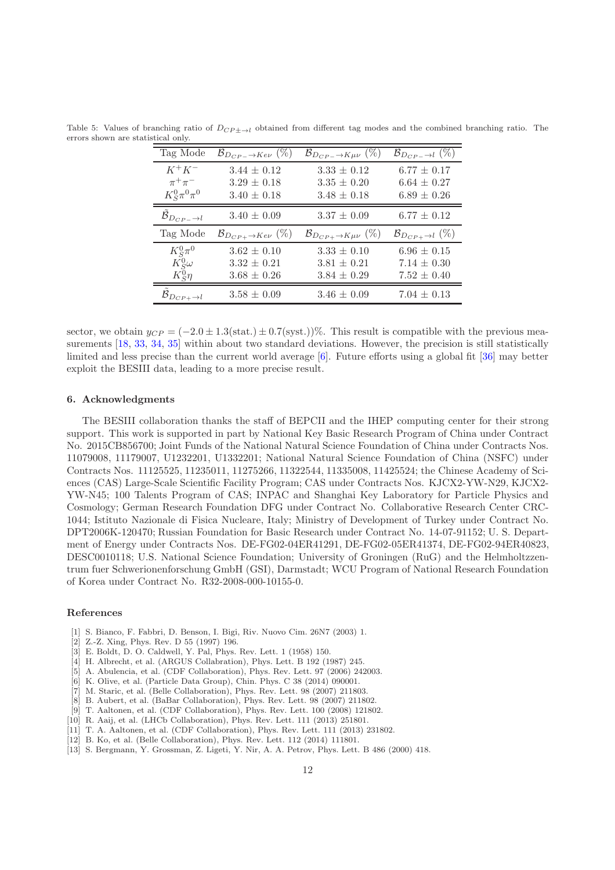| Tag Mode                              | $\mathcal{B}_{D_{CP-}\to K e\nu}$ (%) | $\mathcal{B}_{D_{CP-} \to K \mu \nu}$ (%) | $\mathcal{B}_{D_{CP-} \to l} (\%)$ |
|---------------------------------------|---------------------------------------|-------------------------------------------|------------------------------------|
| $K^+K^-$                              | $3.44 \pm 0.12$                       | $3.33 \pm 0.12$                           | $6.77 \pm 0.17$                    |
| $\pi^+\pi^-$                          | $3.29 \pm 0.18$                       | $3.35 \pm 0.20$                           | $6.64 \pm 0.27$                    |
| $K_{\mathcal{S}}^0 \pi^0 \pi^0$       | $3.40 \pm 0.18$                       | $3.48 \pm 0.18$                           | $6.89 \pm 0.26$                    |
| $\mathcal{B}_{D_{CP-} \rightarrow l}$ | $3.40 \pm 0.09$                       | $3.37 \pm 0.09$                           | $6.77 \pm 0.12$                    |
| Tag Mode                              | $\mathcal{B}_{D_{CP+}\to K e\nu}$ (%) | $\mathcal{B}_{D_{CP+}\to K\mu\nu}$ (%)    | $\mathcal{B}_{D_{CP+}\to l}(\%)$   |
| $K_S^0\pi^0$                          | $3.62 \pm 0.10$                       | $3.33 \pm 0.10$                           | $6.96 \pm 0.15$                    |
| $K^0_S\omega$                         | $3.32 \pm 0.21$                       | $3.81 \pm 0.21$                           | $7.14 \pm 0.30$                    |
| $K_{\mathcal{S}}^0\eta$               | $3.68 \pm 0.26$                       | $3.84 \pm 0.29$                           | $7.52 \pm 0.40$                    |
| $\mathcal{B}_{D_{CP+} \rightarrow l}$ | $3.58 \pm 0.09$                       | $3.46 \pm 0.09$                           | $7.04 \pm 0.13$                    |

<span id="page-11-13"></span>Table 5: Values of branching ratio of  $D_{CP\pm\rightarrow l}$  obtained from different tag modes and the combined branching ratio. The errors shown are statistical only.

sector, we obtain  $y_{CP} = (-2.0 \pm 1.3(\text{stat.}) \pm 0.7(\text{syst.}))\%$ . This result is compatible with the previous mea-surements [\[18](#page-12-4), [33](#page-12-19), [34](#page-12-20), [35](#page-12-21)] within about two standard deviations. However, the precision is still statistically limited and less precise than the current world average [\[6\]](#page-11-5). Future efforts using a global fit [\[36\]](#page-12-22) may better exploit the BESIII data, leading to a more precise result.

## 6. Acknowledgments

The BESIII collaboration thanks the staff of BEPCII and the IHEP computing center for their strong support. This work is supported in part by National Key Basic Research Program of China under Contract No. 2015CB856700; Joint Funds of the National Natural Science Foundation of China under Contracts Nos. 11079008, 11179007, U1232201, U1332201; National Natural Science Foundation of China (NSFC) under Contracts Nos. 11125525, 11235011, 11275266, 11322544, 11335008, 11425524; the Chinese Academy of Sciences (CAS) Large-Scale Scientific Facility Program; CAS under Contracts Nos. KJCX2-YW-N29, KJCX2- YW-N45; 100 Talents Program of CAS; INPAC and Shanghai Key Laboratory for Particle Physics and Cosmology; German Research Foundation DFG under Contract No. Collaborative Research Center CRC-1044; Istituto Nazionale di Fisica Nucleare, Italy; Ministry of Development of Turkey under Contract No. DPT2006K-120470; Russian Foundation for Basic Research under Contract No. 14-07-91152; U. S. Department of Energy under Contracts Nos. DE-FG02-04ER41291, DE-FG02-05ER41374, DE-FG02-94ER40823, DESC0010118; U.S. National Science Foundation; University of Groningen (RuG) and the Helmholtzzentrum fuer Schwerionenforschung GmbH (GSI), Darmstadt; WCU Program of National Research Foundation of Korea under Contract No. R32-2008-000-10155-0.

#### References

- <span id="page-11-0"></span>[1] S. Bianco, F. Fabbri, D. Benson, I. Bigi, Riv. Nuovo Cim. 26N7 (2003) 1.
- <span id="page-11-1"></span>[2] Z.-Z. Xing, Phys. Rev. D 55 (1997) 196.
- <span id="page-11-2"></span>[3] E. Boldt, D. O. Caldwell, Y. Pal, Phys. Rev. Lett. 1 (1958) 150.
- <span id="page-11-3"></span>[4] H. Albrecht, et al. (ARGUS Collabration), Phys. Lett. B 192 (1987) 245.
- <span id="page-11-4"></span>[5] A. Abulencia, et al. (CDF Collaboration), Phys. Rev. Lett. 97 (2006) 242003.
- <span id="page-11-5"></span>[6] K. Olive, et al. (Particle Data Group), Chin. Phys. C 38 (2014) 090001.
- <span id="page-11-6"></span>[7] M. Staric, et al. (Belle Collaboration), Phys. Rev. Lett. 98 (2007) 211803.
- <span id="page-11-7"></span>[8] B. Aubert, et al. (BaBar Collaboration), Phys. Rev. Lett. 98 (2007) 211802.
- <span id="page-11-8"></span>[9] T. Aaltonen, et al. (CDF Collaboration), Phys. Rev. Lett. 100 (2008) 121802.
- <span id="page-11-9"></span>[10] R. Aaij, et al. (LHCb Collaboration), Phys. Rev. Lett. 111 (2013) 251801.
- <span id="page-11-10"></span>[11] T. A. Aaltonen, et al. (CDF Collaboration), Phys. Rev. Lett. 111 (2013) 231802.
- <span id="page-11-11"></span>[12] B. Ko, et al. (Belle Collaboration), Phys. Rev. Lett. 112 (2014) 111801.
- <span id="page-11-12"></span>[13] S. Bergmann, Y. Grossman, Z. Ligeti, Y. Nir, A. A. Petrov, Phys. Lett. B 486 (2000) 418.